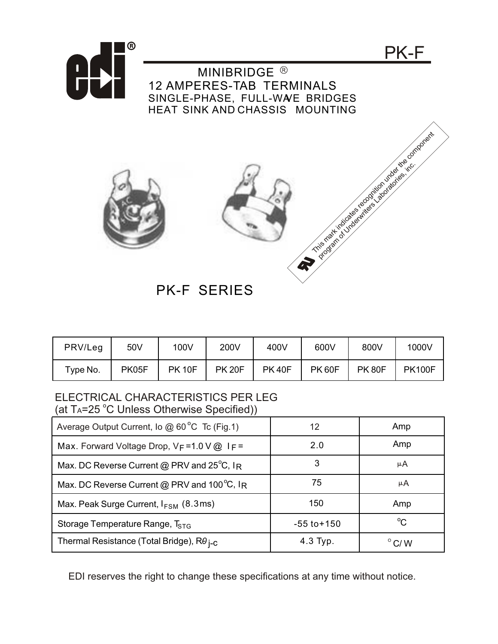

| PRV/Leg        | 50V   | 100V          | 200V          | 400V         | 600V         | 800V         | 1000V         |
|----------------|-------|---------------|---------------|--------------|--------------|--------------|---------------|
| $\tau$ ype No. | PK05F | <b>PK 10F</b> | <b>PK 20F</b> | <b>PK40F</b> | <b>PK60F</b> | <b>PK80F</b> | <b>PK100F</b> |

PK-F SERIES

## ELECTRICAL CHARACTERISTICS PER LEG (at TA=25 °C Unless Otherwise Specified))

| $\overline{\phantom{a}}$                               |                 |                 |
|--------------------------------------------------------|-----------------|-----------------|
| Average Output Current, Io @ 60°C Tc (Fig.1)           | 12              | Amp             |
| Max. Forward Voltage Drop, $V_F = 1.0 V @$ IF          | 2.0             | Amp             |
| Max. DC Reverse Current @ PRV and $25^{\circ}$ C, IR   | 3               | μA              |
| Max. DC Reverse Current @ PRV and 100 $^{\circ}$ C, IR | 75              | μA              |
| Max. Peak Surge Current, $I_{FSM}$ (8.3ms)             | 150             | Amp             |
| Storage Temperature Range, T <sub>STG</sub>            | $-55$ to $+150$ | $^{\circ}C$     |
| Thermal Resistance (Total Bridge), $R\theta_{I-C}$     | 4.3 Typ.        | $^{\circ}$ C/ W |

EDI reserves the right to change these specifications at any time without notice.